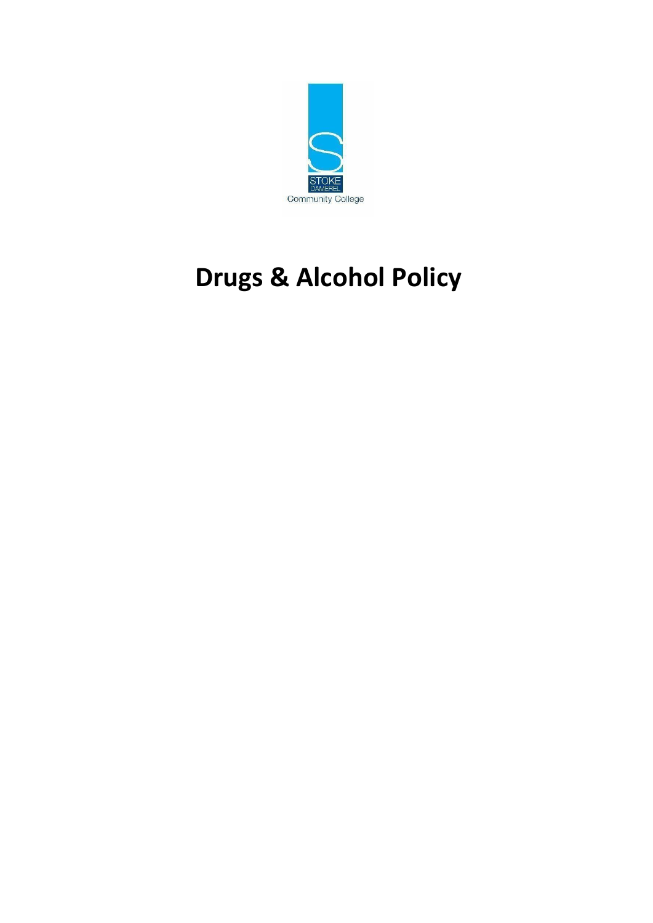

# **Drugs & Alcohol Policy**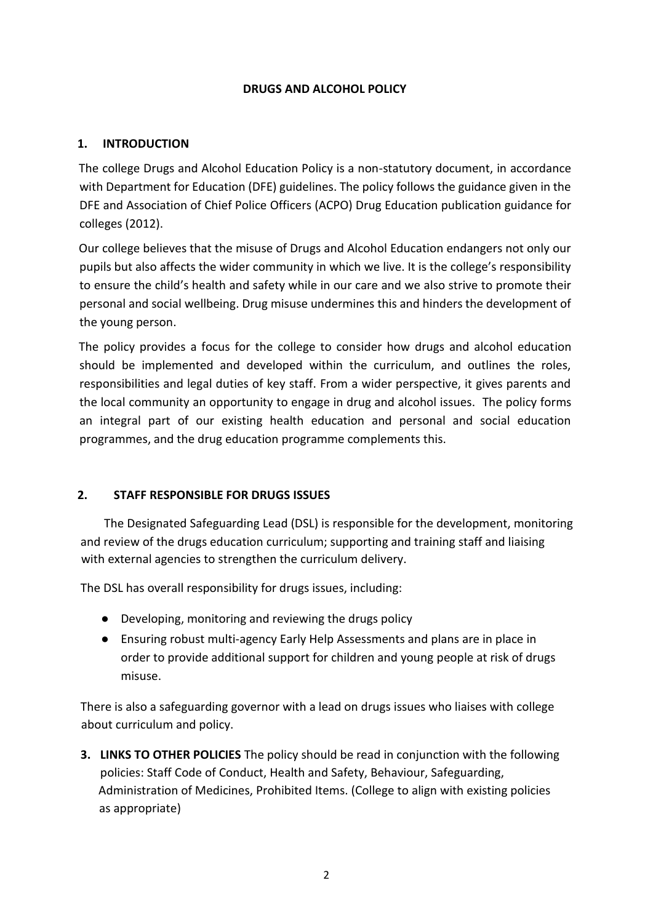# **DRUGS AND ALCOHOL POLICY**

# **1. INTRODUCTION**

The college Drugs and Alcohol Education Policy is a non-statutory document, in accordance with Department for Education (DFE) guidelines. The policy follows the guidance given in the DFE and Association of Chief Police Officers (ACPO) Drug Education publication guidance for colleges (2012).

Our college believes that the misuse of Drugs and Alcohol Education endangers not only our pupils but also affects the wider community in which we live. It is the college's responsibility to ensure the child's health and safety while in our care and we also strive to promote their personal and social wellbeing. Drug misuse undermines this and hinders the development of the young person.

The policy provides a focus for the college to consider how drugs and alcohol education should be implemented and developed within the curriculum, and outlines the roles, responsibilities and legal duties of key staff. From a wider perspective, it gives parents and the local community an opportunity to engage in drug and alcohol issues. The policy forms an integral part of our existing health education and personal and social education programmes, and the drug education programme complements this.

# **2. STAFF RESPONSIBLE FOR DRUGS ISSUES**

The Designated Safeguarding Lead (DSL) is responsible for the development, monitoring and review of the drugs education curriculum; supporting and training staff and liaising with external agencies to strengthen the curriculum delivery.

The DSL has overall responsibility for drugs issues, including:

- Developing, monitoring and reviewing the drugs policy
- Ensuring robust multi-agency Early Help Assessments and plans are in place in order to provide additional support for children and young people at risk of drugs misuse.

There is also a safeguarding governor with a lead on drugs issues who liaises with college about curriculum and policy.

**3. LINKS TO OTHER POLICIES** The policy should be read in conjunction with the following policies: Staff Code of Conduct, Health and Safety, Behaviour, Safeguarding, Administration of Medicines, Prohibited Items. (College to align with existing policies as appropriate)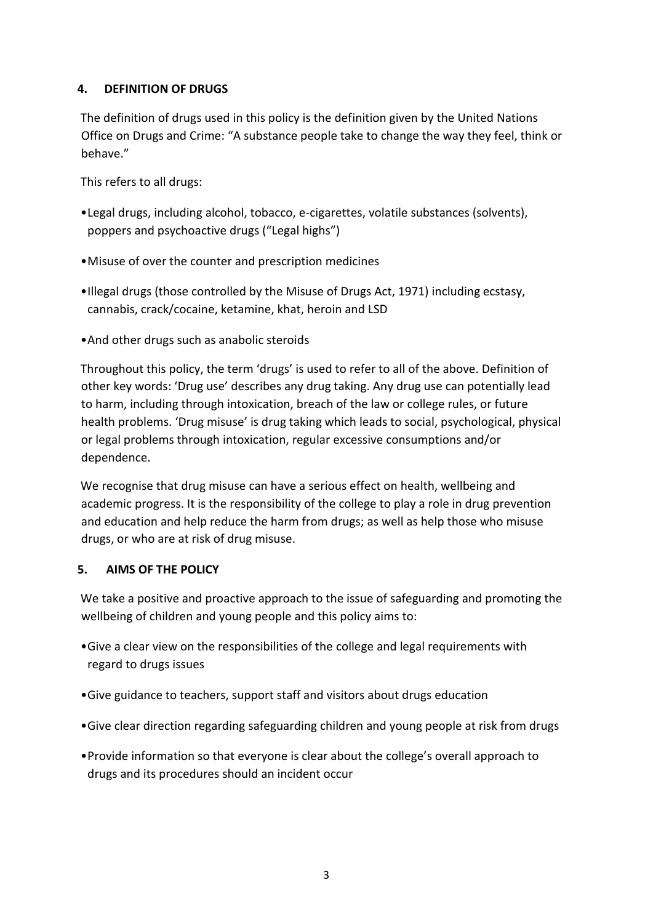# **4. DEFINITION OF DRUGS**

The definition of drugs used in this policy is the definition given by the United Nations Office on Drugs and Crime: "A substance people take to change the way they feel, think or behave."

This refers to all drugs:

- •Legal drugs, including alcohol, tobacco, e-cigarettes, volatile substances (solvents), poppers and psychoactive drugs ("Legal highs")
- •Misuse of over the counter and prescription medicines
- •Illegal drugs (those controlled by the Misuse of Drugs Act, 1971) including ecstasy, cannabis, crack/cocaine, ketamine, khat, heroin and LSD
- •And other drugs such as anabolic steroids

Throughout this policy, the term 'drugs' is used to refer to all of the above. Definition of other key words: 'Drug use' describes any drug taking. Any drug use can potentially lead to harm, including through intoxication, breach of the law or college rules, or future health problems. 'Drug misuse' is drug taking which leads to social, psychological, physical or legal problems through intoxication, regular excessive consumptions and/or dependence.

We recognise that drug misuse can have a serious effect on health, wellbeing and academic progress. It is the responsibility of the college to play a role in drug prevention and education and help reduce the harm from drugs; as well as help those who misuse drugs, or who are at risk of drug misuse.

# **5. AIMS OF THE POLICY**

We take a positive and proactive approach to the issue of safeguarding and promoting the wellbeing of children and young people and this policy aims to:

- •Give a clear view on the responsibilities of the college and legal requirements with regard to drugs issues
- •Give guidance to teachers, support staff and visitors about drugs education
- •Give clear direction regarding safeguarding children and young people at risk from drugs
- •Provide information so that everyone is clear about the college's overall approach to drugs and its procedures should an incident occur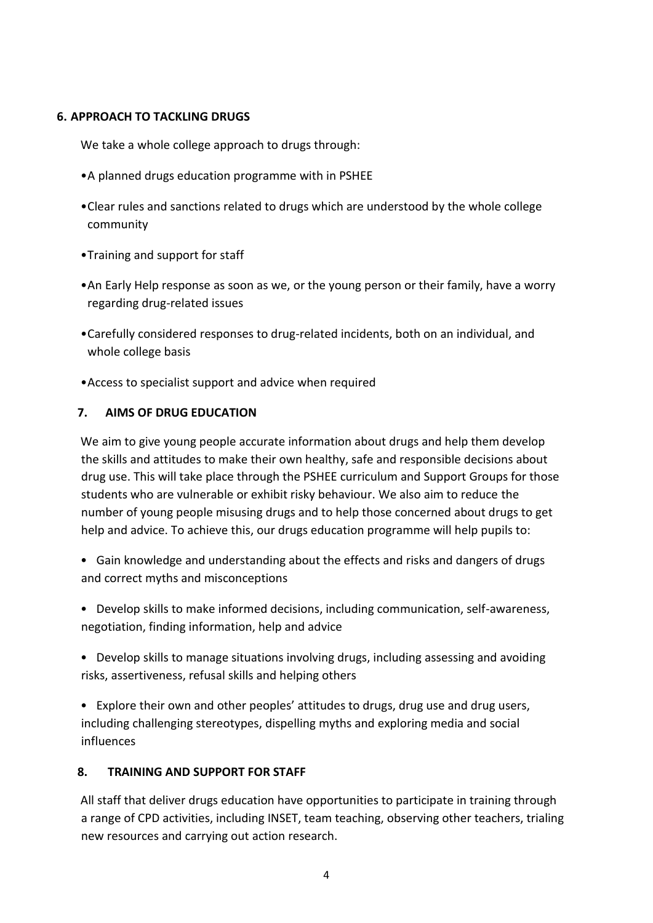## **6. APPROACH TO TACKLING DRUGS**

We take a whole college approach to drugs through:

- •A planned drugs education programme with in PSHEE
- •Clear rules and sanctions related to drugs which are understood by the whole college community
- •Training and support for staff
- •An Early Help response as soon as we, or the young person or their family, have a worry regarding drug-related issues
- •Carefully considered responses to drug-related incidents, both on an individual, and whole college basis
- •Access to specialist support and advice when required

# **7. AIMS OF DRUG EDUCATION**

We aim to give young people accurate information about drugs and help them develop the skills and attitudes to make their own healthy, safe and responsible decisions about drug use. This will take place through the PSHEE curriculum and Support Groups for those students who are vulnerable or exhibit risky behaviour. We also aim to reduce the number of young people misusing drugs and to help those concerned about drugs to get help and advice. To achieve this, our drugs education programme will help pupils to:

- Gain knowledge and understanding about the effects and risks and dangers of drugs and correct myths and misconceptions
- Develop skills to make informed decisions, including communication, self-awareness, negotiation, finding information, help and advice
- Develop skills to manage situations involving drugs, including assessing and avoiding risks, assertiveness, refusal skills and helping others
- Explore their own and other peoples' attitudes to drugs, drug use and drug users, including challenging stereotypes, dispelling myths and exploring media and social influences

# **8. TRAINING AND SUPPORT FOR STAFF**

All staff that deliver drugs education have opportunities to participate in training through a range of CPD activities, including INSET, team teaching, observing other teachers, trialing new resources and carrying out action research.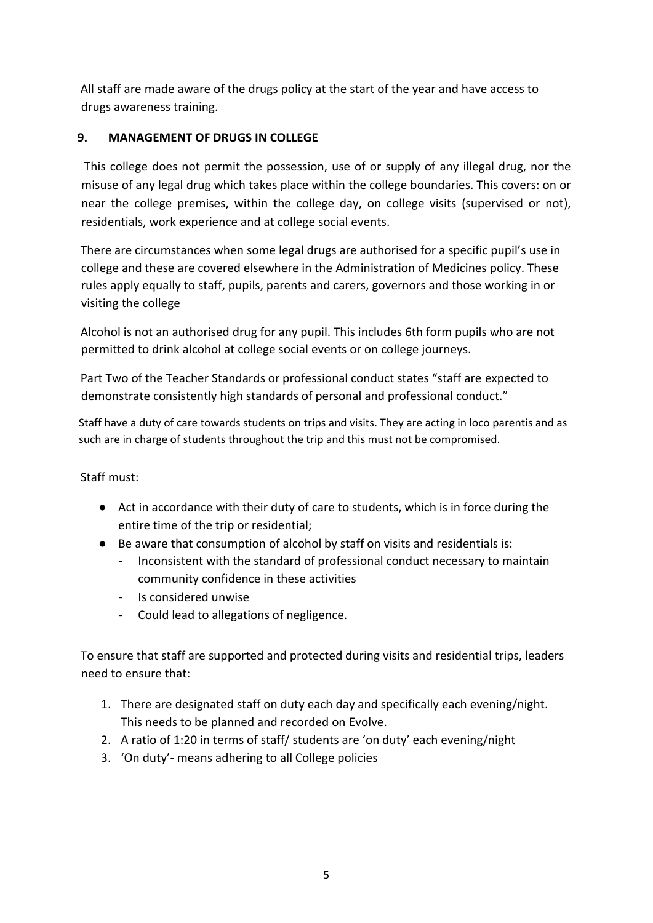All staff are made aware of the drugs policy at the start of the year and have access to drugs awareness training.

# **9. MANAGEMENT OF DRUGS IN COLLEGE**

This college does not permit the possession, use of or supply of any illegal drug, nor the misuse of any legal drug which takes place within the college boundaries. This covers: on or near the college premises, within the college day, on college visits (supervised or not), residentials, work experience and at college social events.

There are circumstances when some legal drugs are authorised for a specific pupil's use in college and these are covered elsewhere in the Administration of Medicines policy. These rules apply equally to staff, pupils, parents and carers, governors and those working in or visiting the college

Alcohol is not an authorised drug for any pupil. This includes 6th form pupils who are not permitted to drink alcohol at college social events or on college journeys.

Part Two of the Teacher Standards or professional conduct states "staff are expected to demonstrate consistently high standards of personal and professional conduct."

Staff have a duty of care towards students on trips and visits. They are acting in loco parentis and as such are in charge of students throughout the trip and this must not be compromised.

# Staff must:

- Act in accordance with their duty of care to students, which is in force during the entire time of the trip or residential;
- Be aware that consumption of alcohol by staff on visits and residentials is:
	- Inconsistent with the standard of professional conduct necessary to maintain community confidence in these activities
	- Is considered unwise
	- Could lead to allegations of negligence.

To ensure that staff are supported and protected during visits and residential trips, leaders need to ensure that:

- 1. There are designated staff on duty each day and specifically each evening/night. This needs to be planned and recorded on Evolve.
- 2. A ratio of 1:20 in terms of staff/ students are 'on duty' each evening/night
- 3. 'On duty'- means adhering to all College policies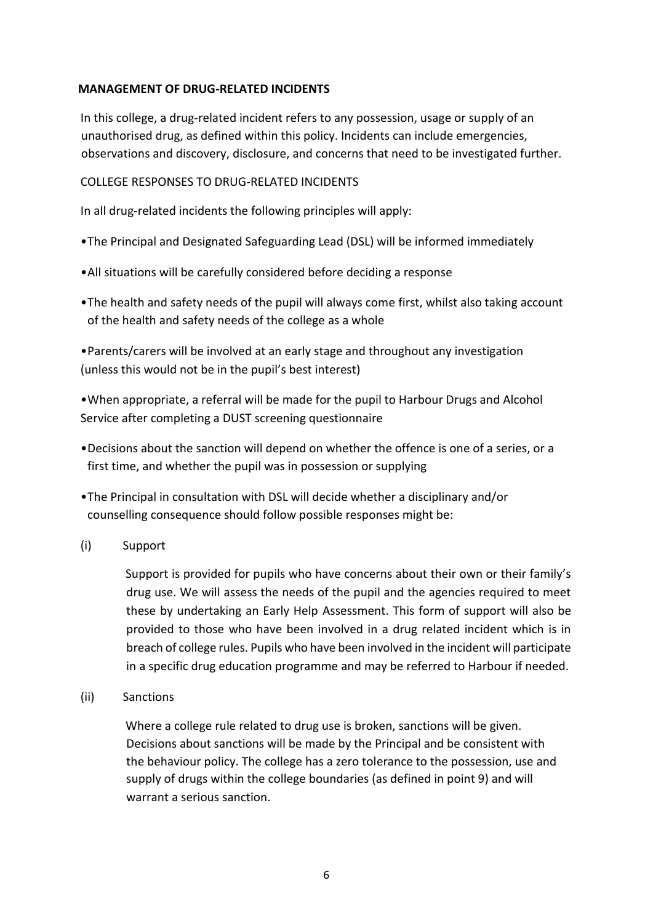## **MANAGEMENT OF DRUG-RELATED INCIDENTS**

In this college, a drug-related incident refers to any possession, usage or supply of an unauthorised drug, as defined within this policy. Incidents can include emergencies, observations and discovery, disclosure, and concerns that need to be investigated further.

#### COLLEGE RESPONSES TO DRUG-RELATED INCIDENTS

In all drug-related incidents the following principles will apply:

- •The Principal and Designated Safeguarding Lead (DSL) will be informed immediately
- •All situations will be carefully considered before deciding a response
- •The health and safety needs of the pupil will always come first, whilst also taking account of the health and safety needs of the college as a whole

•Parents/carers will be involved at an early stage and throughout any investigation (unless this would not be in the pupil's best interest)

•When appropriate, a referral will be made for the pupil to Harbour Drugs and Alcohol Service after completing a DUST screening questionnaire

- •Decisions about the sanction will depend on whether the offence is one of a series, or a first time, and whether the pupil was in possession or supplying
- •The Principal in consultation with DSL will decide whether a disciplinary and/or counselling consequence should follow possible responses might be:
- (i) Support

Support is provided for pupils who have concerns about their own or their family's drug use. We will assess the needs of the pupil and the agencies required to meet these by undertaking an Early Help Assessment. This form of support will also be provided to those who have been involved in a drug related incident which is in breach of college rules. Pupils who have been involved in the incident will participate in a specific drug education programme and may be referred to Harbour if needed.

(ii) Sanctions

Where a college rule related to drug use is broken, sanctions will be given. Decisions about sanctions will be made by the Principal and be consistent with the behaviour policy. The college has a zero tolerance to the possession, use and supply of drugs within the college boundaries (as defined in point 9) and will warrant a serious sanction.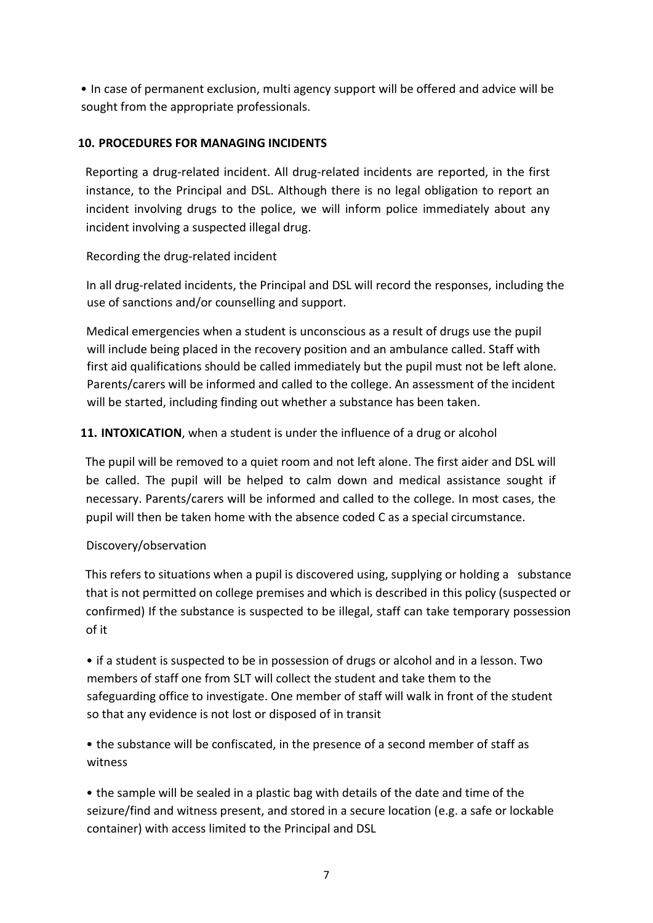• In case of permanent exclusion, multi agency support will be offered and advice will be sought from the appropriate professionals.

# **10. PROCEDURES FOR MANAGING INCIDENTS**

Reporting a drug-related incident. All drug-related incidents are reported, in the first instance, to the Principal and DSL. Although there is no legal obligation to report an incident involving drugs to the police, we will inform police immediately about any incident involving a suspected illegal drug.

# Recording the drug-related incident

In all drug-related incidents, the Principal and DSL will record the responses, including the use of sanctions and/or counselling and support.

Medical emergencies when a student is unconscious as a result of drugs use the pupil will include being placed in the recovery position and an ambulance called. Staff with first aid qualifications should be called immediately but the pupil must not be left alone. Parents/carers will be informed and called to the college. An assessment of the incident will be started, including finding out whether a substance has been taken.

# **11. INTOXICATION**, when a student is under the influence of a drug or alcohol

The pupil will be removed to a quiet room and not left alone. The first aider and DSL will be called. The pupil will be helped to calm down and medical assistance sought if necessary. Parents/carers will be informed and called to the college. In most cases, the pupil will then be taken home with the absence coded C as a special circumstance.

# Discovery/observation

This refers to situations when a pupil is discovered using, supplying or holding a substance that is not permitted on college premises and which is described in this policy (suspected or confirmed) If the substance is suspected to be illegal, staff can take temporary possession of it

• if a student is suspected to be in possession of drugs or alcohol and in a lesson. Two members of staff one from SLT will collect the student and take them to the safeguarding office to investigate. One member of staff will walk in front of the student so that any evidence is not lost or disposed of in transit

• the substance will be confiscated, in the presence of a second member of staff as witness

• the sample will be sealed in a plastic bag with details of the date and time of the seizure/find and witness present, and stored in a secure location (e.g. a safe or lockable container) with access limited to the Principal and DSL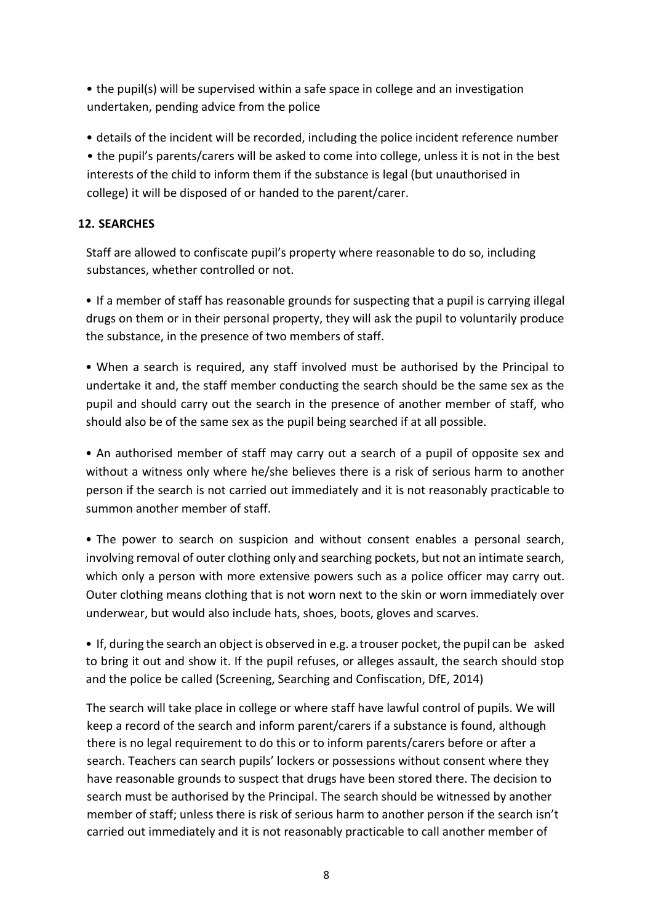• the pupil(s) will be supervised within a safe space in college and an investigation undertaken, pending advice from the police

• details of the incident will be recorded, including the police incident reference number • the pupil's parents/carers will be asked to come into college, unless it is not in the best interests of the child to inform them if the substance is legal (but unauthorised in college) it will be disposed of or handed to the parent/carer.

# **12. SEARCHES**

Staff are allowed to confiscate pupil's property where reasonable to do so, including substances, whether controlled or not.

• If a member of staff has reasonable grounds for suspecting that a pupil is carrying illegal drugs on them or in their personal property, they will ask the pupil to voluntarily produce the substance, in the presence of two members of staff.

• When a search is required, any staff involved must be authorised by the Principal to undertake it and, the staff member conducting the search should be the same sex as the pupil and should carry out the search in the presence of another member of staff, who should also be of the same sex as the pupil being searched if at all possible.

• An authorised member of staff may carry out a search of a pupil of opposite sex and without a witness only where he/she believes there is a risk of serious harm to another person if the search is not carried out immediately and it is not reasonably practicable to summon another member of staff.

• The power to search on suspicion and without consent enables a personal search, involving removal of outer clothing only and searching pockets, but not an intimate search, which only a person with more extensive powers such as a police officer may carry out. Outer clothing means clothing that is not worn next to the skin or worn immediately over underwear, but would also include hats, shoes, boots, gloves and scarves.

• If, during the search an object is observed in e.g. a trouser pocket, the pupil can be asked to bring it out and show it. If the pupil refuses, or alleges assault, the search should stop and the police be called (Screening, Searching and Confiscation, DfE, 2014)

The search will take place in college or where staff have lawful control of pupils. We will keep a record of the search and inform parent/carers if a substance is found, although there is no legal requirement to do this or to inform parents/carers before or after a search. Teachers can search pupils' lockers or possessions without consent where they have reasonable grounds to suspect that drugs have been stored there. The decision to search must be authorised by the Principal. The search should be witnessed by another member of staff; unless there is risk of serious harm to another person if the search isn't carried out immediately and it is not reasonably practicable to call another member of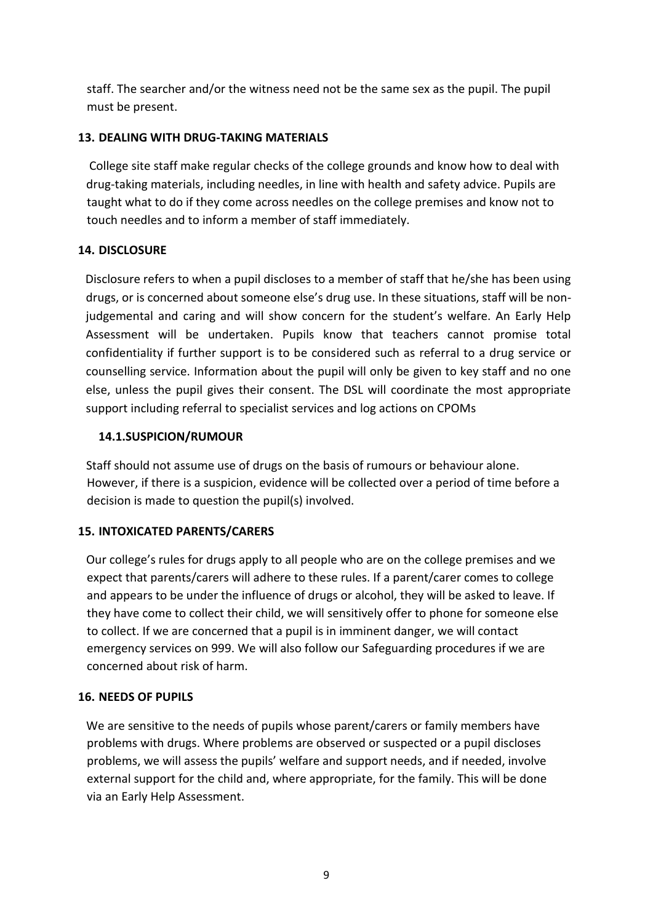staff. The searcher and/or the witness need not be the same sex as the pupil. The pupil must be present.

# **13. DEALING WITH DRUG-TAKING MATERIALS**

College site staff make regular checks of the college grounds and know how to deal with drug-taking materials, including needles, in line with health and safety advice. Pupils are taught what to do if they come across needles on the college premises and know not to touch needles and to inform a member of staff immediately.

# **14. DISCLOSURE**

Disclosure refers to when a pupil discloses to a member of staff that he/she has been using drugs, or is concerned about someone else's drug use. In these situations, staff will be nonjudgemental and caring and will show concern for the student's welfare. An Early Help Assessment will be undertaken. Pupils know that teachers cannot promise total confidentiality if further support is to be considered such as referral to a drug service or counselling service. Information about the pupil will only be given to key staff and no one else, unless the pupil gives their consent. The DSL will coordinate the most appropriate support including referral to specialist services and log actions on CPOMs

# **14.1.SUSPICION/RUMOUR**

Staff should not assume use of drugs on the basis of rumours or behaviour alone. However, if there is a suspicion, evidence will be collected over a period of time before a decision is made to question the pupil(s) involved.

# **15. INTOXICATED PARENTS/CARERS**

Our college's rules for drugs apply to all people who are on the college premises and we expect that parents/carers will adhere to these rules. If a parent/carer comes to college and appears to be under the influence of drugs or alcohol, they will be asked to leave. If they have come to collect their child, we will sensitively offer to phone for someone else to collect. If we are concerned that a pupil is in imminent danger, we will contact emergency services on 999. We will also follow our Safeguarding procedures if we are concerned about risk of harm.

# **16. NEEDS OF PUPILS**

We are sensitive to the needs of pupils whose parent/carers or family members have problems with drugs. Where problems are observed or suspected or a pupil discloses problems, we will assess the pupils' welfare and support needs, and if needed, involve external support for the child and, where appropriate, for the family. This will be done via an Early Help Assessment.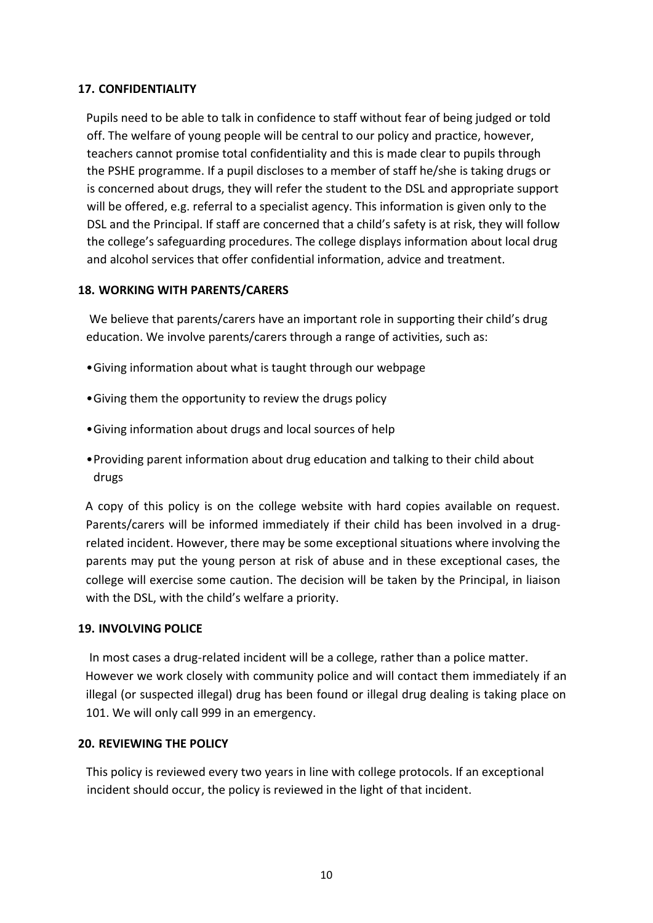## **17. CONFIDENTIALITY**

Pupils need to be able to talk in confidence to staff without fear of being judged or told off. The welfare of young people will be central to our policy and practice, however, teachers cannot promise total confidentiality and this is made clear to pupils through the PSHE programme. If a pupil discloses to a member of staff he/she is taking drugs or is concerned about drugs, they will refer the student to the DSL and appropriate support will be offered, e.g. referral to a specialist agency. This information is given only to the DSL and the Principal. If staff are concerned that a child's safety is at risk, they will follow the college's safeguarding procedures. The college displays information about local drug and alcohol services that offer confidential information, advice and treatment.

#### **18. WORKING WITH PARENTS/CARERS**

We believe that parents/carers have an important role in supporting their child's drug education. We involve parents/carers through a range of activities, such as:

- •Giving information about what is taught through our webpage
- •Giving them the opportunity to review the drugs policy
- •Giving information about drugs and local sources of help
- •Providing parent information about drug education and talking to their child about drugs

A copy of this policy is on the college website with hard copies available on request. Parents/carers will be informed immediately if their child has been involved in a drugrelated incident. However, there may be some exceptional situations where involving the parents may put the young person at risk of abuse and in these exceptional cases, the college will exercise some caution. The decision will be taken by the Principal, in liaison with the DSL, with the child's welfare a priority.

#### **19. INVOLVING POLICE**

In most cases a drug-related incident will be a college, rather than a police matter. However we work closely with community police and will contact them immediately if an illegal (or suspected illegal) drug has been found or illegal drug dealing is taking place on 101. We will only call 999 in an emergency.

#### **20. REVIEWING THE POLICY**

This policy is reviewed every two years in line with college protocols. If an exceptional incident should occur, the policy is reviewed in the light of that incident.